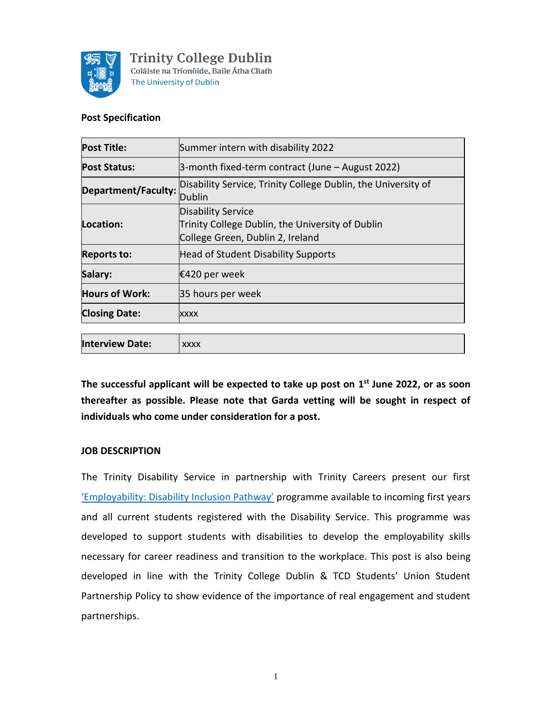

#### **Post Specification**

| Summer intern with disability 2022                                                                                |
|-------------------------------------------------------------------------------------------------------------------|
| 3-month fixed-term contract (June – August 2022)                                                                  |
| Disability Service, Trinity College Dublin, the University of<br>Department/Faculty:<br>Dublin                    |
| <b>Disability Service</b><br>Trinity College Dublin, the University of Dublin<br>College Green, Dublin 2, Ireland |
| Head of Student Disability Supports                                                                               |
| €420 per week                                                                                                     |
| 35 hours per week                                                                                                 |
| XXXX                                                                                                              |
|                                                                                                                   |

**The successful applicant will be expected to take up post on 1 st June 2022, or as soon thereafter as possible. Please note that Garda vetting will be sought in respect of individuals who come under consideration for a post.**

#### **JOB DESCRIPTION**

The Trinity Disability Service in partnership with Trinity Careers present our first ['Employability: Disability Inclusion Pathway'](https://www.tcd.ie/disability/services/career/employability.php) programme available to incoming first years and all current students registered with the Disability Service. This programme was developed to support students with disabilities to develop the employability skills necessary for career readiness and transition to the workplace. This post is also being developed in line with the Trinity College Dublin & TCD Students' Union Student Partnership Policy to show evidence of the importance of real engagement and student partnerships.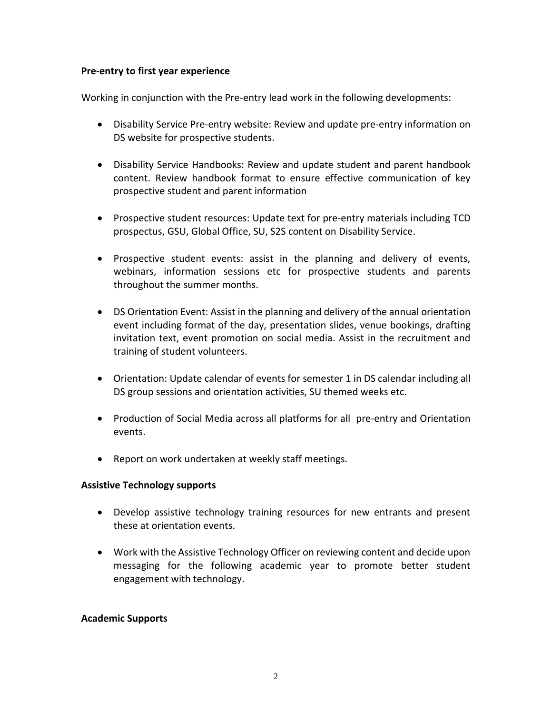### **Pre-entry to first year experience**

Working in conjunction with the Pre-entry lead work in the following developments:

- Disability Service Pre-entry website: Review and update pre-entry information on DS website for prospective students.
- Disability Service Handbooks: Review and update student and parent handbook content. Review handbook format to ensure effective communication of key prospective student and parent information
- Prospective student resources: Update text for pre-entry materials including TCD prospectus, GSU, Global Office, SU, S2S content on Disability Service.
- Prospective student events: assist in the planning and delivery of events, webinars, information sessions etc for prospective students and parents throughout the summer months.
- DS Orientation Event: Assist in the planning and delivery of the annual orientation event including format of the day, presentation slides, venue bookings, drafting invitation text, event promotion on social media. Assist in the recruitment and training of student volunteers.
- Orientation: Update calendar of events for semester 1 in DS calendar including all DS group sessions and orientation activities, SU themed weeks etc.
- Production of Social Media across all platforms for all pre-entry and Orientation events.
- Report on work undertaken at weekly staff meetings.

### **Assistive Technology supports**

- Develop assistive technology training resources for new entrants and present these at orientation events.
- Work with the Assistive Technology Officer on reviewing content and decide upon messaging for the following academic year to promote better student engagement with technology.

### **Academic Supports**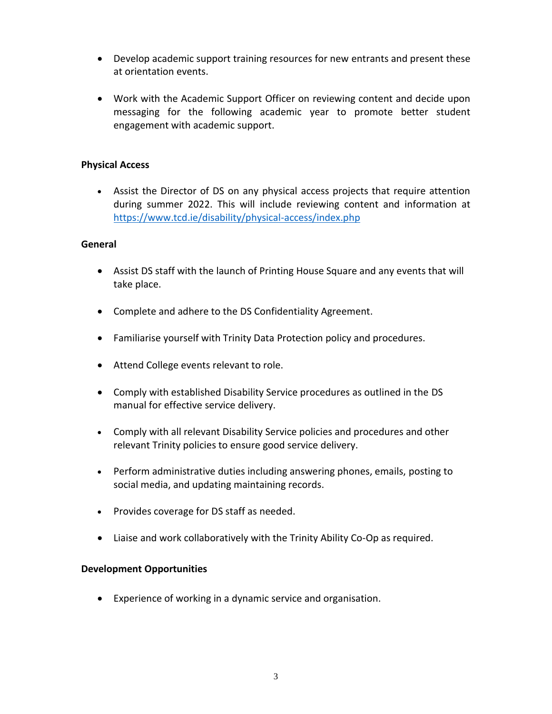- Develop academic support training resources for new entrants and present these at orientation events.
- Work with the Academic Support Officer on reviewing content and decide upon messaging for the following academic year to promote better student engagement with academic support.

## **Physical Access**

• Assist the Director of DS on any physical access projects that require attention during summer 2022. This will include reviewing content and information at <https://www.tcd.ie/disability/physical-access/index.php>

### **General**

- Assist DS staff with the launch of Printing House Square and any events that will take place.
- Complete and adhere to the DS Confidentiality Agreement.
- Familiarise yourself with Trinity Data Protection policy and procedures.
- Attend College events relevant to role.
- Comply with established Disability Service procedures as outlined in the DS manual for effective service delivery.
- Comply with all relevant Disability Service policies and procedures and other relevant Trinity policies to ensure good service delivery.
- Perform administrative duties including answering phones, emails, posting to social media, and updating maintaining records.
- Provides coverage for DS staff as needed.
- Liaise and work collaboratively with the Trinity Ability Co-Op as required.

#### **Development Opportunities**

• Experience of working in a dynamic service and organisation.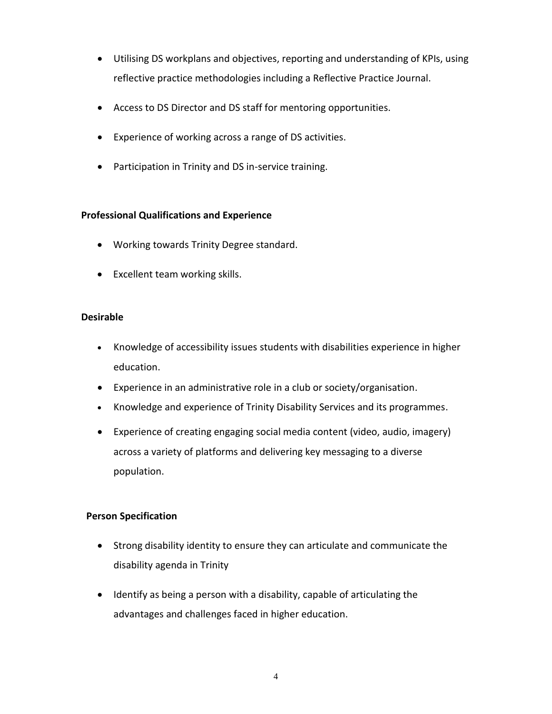- Utilising DS workplans and objectives, reporting and understanding of KPIs, using reflective practice methodologies including a Reflective Practice Journal.
- Access to DS Director and DS staff for mentoring opportunities.
- Experience of working across a range of DS activities.
- Participation in Trinity and DS in-service training.

## **Professional Qualifications and Experience**

- Working towards Trinity Degree standard.
- Excellent team working skills.

## **Desirable**

- Knowledge of accessibility issues students with disabilities experience in higher education.
- Experience in an administrative role in a club or society/organisation.
- Knowledge and experience of Trinity Disability Services and its programmes.
- Experience of creating engaging social media content (video, audio, imagery) across a variety of platforms and delivering key messaging to a diverse population.

# **Person Specification**

- Strong disability identity to ensure they can articulate and communicate the disability agenda in Trinity
- Identify as being a person with a disability, capable of articulating the advantages and challenges faced in higher education.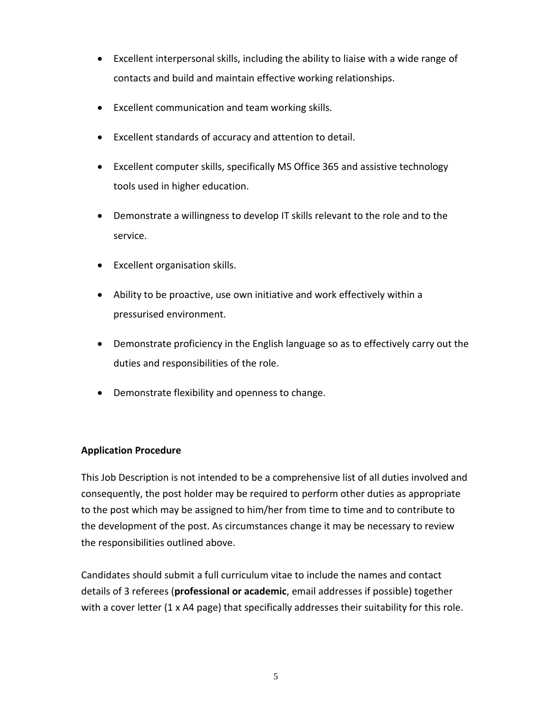- Excellent interpersonal skills, including the ability to liaise with a wide range of contacts and build and maintain effective working relationships.
- Excellent communication and team working skills.
- Excellent standards of accuracy and attention to detail.
- Excellent computer skills, specifically MS Office 365 and assistive technology tools used in higher education.
- Demonstrate a willingness to develop IT skills relevant to the role and to the service.
- Excellent organisation skills.
- Ability to be proactive, use own initiative and work effectively within a pressurised environment.
- Demonstrate proficiency in the English language so as to effectively carry out the duties and responsibilities of the role.
- Demonstrate flexibility and openness to change.

# **Application Procedure**

This Job Description is not intended to be a comprehensive list of all duties involved and consequently, the post holder may be required to perform other duties as appropriate to the post which may be assigned to him/her from time to time and to contribute to the development of the post. As circumstances change it may be necessary to review the responsibilities outlined above.

Candidates should submit a full curriculum vitae to include the names and contact details of 3 referees (**professional or academic**, email addresses if possible) together with a cover letter (1 x A4 page) that specifically addresses their suitability for this role.